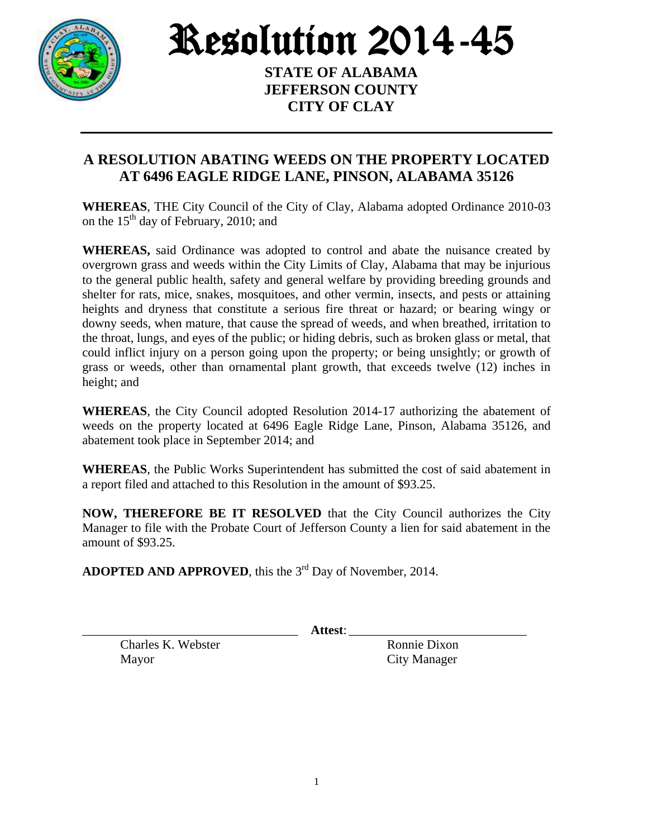

Resolution 2014-45

**STATE OF ALABAMA JEFFERSON COUNTY CITY OF CLAY**

## **A RESOLUTION ABATING WEEDS ON THE PROPERTY LOCATED AT 6496 EAGLE RIDGE LANE, PINSON, ALABAMA 35126**

**WHEREAS**, THE City Council of the City of Clay, Alabama adopted Ordinance 2010-03 on the  $15<sup>th</sup>$  day of February, 2010; and

**WHEREAS,** said Ordinance was adopted to control and abate the nuisance created by overgrown grass and weeds within the City Limits of Clay, Alabama that may be injurious to the general public health, safety and general welfare by providing breeding grounds and shelter for rats, mice, snakes, mosquitoes, and other vermin, insects, and pests or attaining heights and dryness that constitute a serious fire threat or hazard; or bearing wingy or downy seeds, when mature, that cause the spread of weeds, and when breathed, irritation to the throat, lungs, and eyes of the public; or hiding debris, such as broken glass or metal, that could inflict injury on a person going upon the property; or being unsightly; or growth of grass or weeds, other than ornamental plant growth, that exceeds twelve (12) inches in height; and

**WHEREAS**, the City Council adopted Resolution 2014-17 authorizing the abatement of weeds on the property located at 6496 Eagle Ridge Lane, Pinson, Alabama 35126, and abatement took place in September 2014; and

**WHEREAS**, the Public Works Superintendent has submitted the cost of said abatement in a report filed and attached to this Resolution in the amount of \$93.25.

**NOW, THEREFORE BE IT RESOLVED** that the City Council authorizes the City Manager to file with the Probate Court of Jefferson County a lien for said abatement in the amount of \$93.25.

ADOPTED AND APPROVED, this the 3<sup>rd</sup> Day of November, 2014.

\_\_\_\_\_\_\_\_\_\_\_\_\_\_\_\_\_\_\_\_\_\_\_\_\_\_\_\_\_\_\_\_\_\_ **Attest**: \_\_\_\_\_\_\_\_\_\_\_\_\_\_\_\_\_\_\_\_\_\_\_\_\_\_\_\_

Charles K. Webster Ronnie Dixon Mayor City Manager